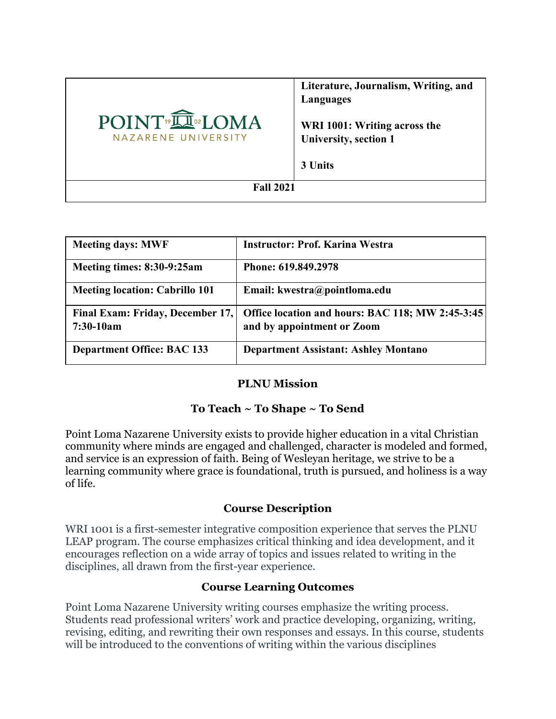|                                                                 | Literature, Journalism, Writing, and<br>Languages            |
|-----------------------------------------------------------------|--------------------------------------------------------------|
| POINT <sup>®</sup> IN® <sub>2</sub> LOMA<br>NAZARENE UNIVERSITY | WRI 1001: Writing across the<br><b>University, section 1</b> |
|                                                                 | 3 Units                                                      |
| <b>Fall 2021</b>                                                |                                                              |

| <b>Meeting days: MWF</b>              | <b>Instructor: Prof. Karina Westra</b>           |
|---------------------------------------|--------------------------------------------------|
| Meeting times: 8:30-9:25am            | Phone: 619.849.2978                              |
| <b>Meeting location: Cabrillo 101</b> | Email: kwestra@pointloma.edu                     |
| Final Exam: Friday, December 17,      | Office location and hours: BAC 118; MW 2:45-3:45 |
| $7:30-10am$                           | and by appointment or Zoom                       |
| <b>Department Office: BAC 133</b>     | <b>Department Assistant: Ashley Montano</b>      |

# **PLNU Mission**

# **To Teach ~ To Shape ~ To Send**

Point Loma Nazarene University exists to provide higher education in a vital Christian community where minds are engaged and challenged, character is modeled and formed, and service is an expression of faith. Being of Wesleyan heritage, we strive to be a learning community where grace is foundational, truth is pursued, and holiness is a way of life.

# **Course Description**

WRI 1001 is a first-semester integrative composition experience that serves the PLNU LEAP program. The course emphasizes critical thinking and idea development, and it encourages reflection on a wide array of topics and issues related to writing in the disciplines, all drawn from the first-year experience.

# **Course Learning Outcomes**

Point Loma Nazarene University writing courses emphasize the writing process. Students read professional writers' work and practice developing, organizing, writing, revising, editing, and rewriting their own responses and essays. In this course, students will be introduced to the conventions of writing within the various disciplines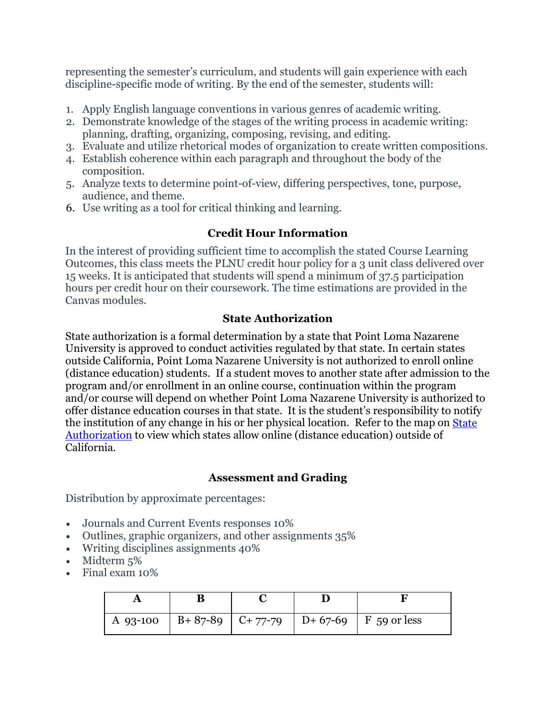representing the semester's curriculum, and students will gain experience with each discipline-specific mode of writing. By the end of the semester, students will:

- 1. Apply English language conventions in various genres of academic writing.
- 2. Demonstrate knowledge of the stages of the writing process in academic writing: planning, drafting, organizing, composing, revising, and editing.
- 3. Evaluate and utilize rhetorical modes of organization to create written compositions.
- 4. Establish coherence within each paragraph and throughout the body of the composition.
- 5. Analyze texts to determine point-of-view, differing perspectives, tone, purpose, audience, and theme.
- 6. Use writing as a tool for critical thinking and learning.

# **Credit Hour Information**

In the interest of providing sufficient time to accomplish the stated Course Learning Outcomes, this class meets the PLNU credit hour policy for a 3 unit class delivered over 15 weeks. It is anticipated that students will spend a minimum of 37.5 participation hours per credit hour on their coursework. The time estimations are provided in the Canvas modules.

# **State Authorization**

State authorization is a formal determination by a state that Point Loma Nazarene University is approved to conduct activities regulated by that state. In certain states outside California, Point Loma Nazarene University is not authorized to enroll online (distance education) students. If a student moves to another state after admission to the program and/or enrollment in an online course, continuation within the program and/or course will depend on whether Point Loma Nazarene University is authorized to offer distance education courses in that state. It is the student's responsibility to notify the institution of any change in his or her physical location. Refer to the map on [State](https://www.pointloma.edu/offices/office-institutional-effectiveness-research/disclosures)  [Authorization](https://www.pointloma.edu/offices/office-institutional-effectiveness-research/disclosures) to view which states allow online (distance education) outside of California.

#### **Assessment and Grading**

Distribution by approximate percentages:

- Journals and Current Events responses 10%
- Outlines, graphic organizers, and other assignments 35%
- Writing disciplines assignments 40%
- Midterm 5%
- Final exam 10%

|  |  | A 93-100   B+87-89   C+77-79   D+67-69   F 59 or less |
|--|--|-------------------------------------------------------|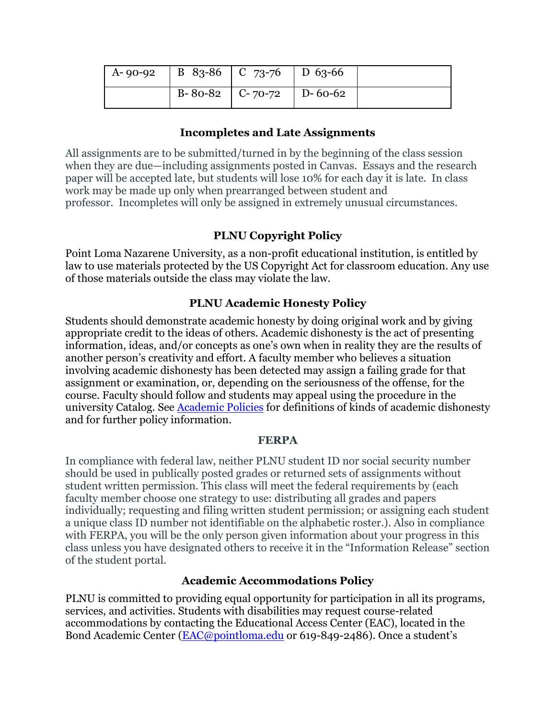| $\vert$ A-90-92 $\vert$ B 83-86 $\vert$ C 73-76 $\vert$ D 63-66 |                             |  |
|-----------------------------------------------------------------|-----------------------------|--|
|                                                                 | B-80-82   C-70-72   D-60-62 |  |

#### **Incompletes and Late Assignments**

All assignments are to be submitted/turned in by the beginning of the class session when they are due—including assignments posted in Canvas. Essays and the research paper will be accepted late, but students will lose 10% for each day it is late. In class work may be made up only when prearranged between student and professor. Incompletes will only be assigned in extremely unusual circumstances.

# **PLNU Copyright Policy**

Point Loma Nazarene University, as a non-profit educational institution, is entitled by law to use materials protected by the US Copyright Act for classroom education. Any use of those materials outside the class may violate the law.

# **PLNU Academic Honesty Policy**

Students should demonstrate academic honesty by doing original work and by giving appropriate credit to the ideas of others. Academic dishonesty is the act of presenting information, ideas, and/or concepts as one's own when in reality they are the results of another person's creativity and effort. A faculty member who believes a situation involving academic dishonesty has been detected may assign a failing grade for that assignment or examination, or, depending on the seriousness of the offense, for the course. Faculty should follow and students may appeal using the procedure in the university Catalog. See [Academic Policies](https://catalog.pointloma.edu/content.php?catoid=52&navoid=2919#Academic_Honesty) for definitions of kinds of academic dishonesty and for further policy information.

#### **FERPA**

In compliance with federal law, neither PLNU student ID nor social security number should be used in publically posted grades or returned sets of assignments without student written permission. This class will meet the federal requirements by (each faculty member choose one strategy to use: distributing all grades and papers individually; requesting and filing written student permission; or assigning each student a unique class ID number not identifiable on the alphabetic roster.). Also in compliance with FERPA, you will be the only person given information about your progress in this class unless you have designated others to receive it in the "Information Release" section of the student portal.

# **Academic Accommodations Policy**

PLNU is committed to providing equal opportunity for participation in all its programs, services, and activities. Students with disabilities may request course-related accommodations by contacting the Educational Access Center (EAC), located in the Bond Academic Center [\(EAC@pointloma.edu](mailto:EAC@pointloma.edu) or 619-849-2486). Once a student's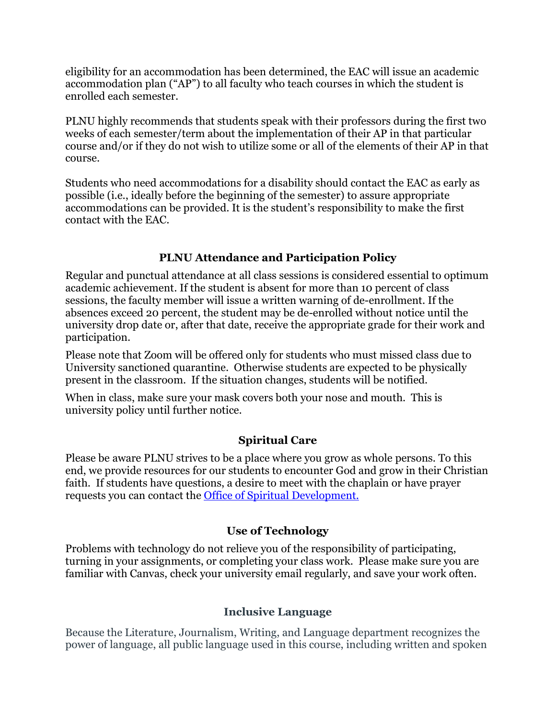eligibility for an accommodation has been determined, the EAC will issue an academic accommodation plan ("AP") to all faculty who teach courses in which the student is enrolled each semester.

PLNU highly recommends that students speak with their professors during the first two weeks of each semester/term about the implementation of their AP in that particular course and/or if they do not wish to utilize some or all of the elements of their AP in that course.

Students who need accommodations for a disability should contact the EAC as early as possible (i.e., ideally before the beginning of the semester) to assure appropriate accommodations can be provided. It is the student's responsibility to make the first contact with the EAC.

# **PLNU Attendance and Participation Policy**

Regular and punctual attendance at all class sessions is considered essential to optimum academic achievement. If the student is absent for more than 10 percent of class sessions, the faculty member will issue a written warning of de-enrollment. If the absences exceed 20 percent, the student may be de-enrolled without notice until the university drop date or, after that date, receive the appropriate grade for their work and participation.

Please note that Zoom will be offered only for students who must missed class due to University sanctioned quarantine. Otherwise students are expected to be physically present in the classroom. If the situation changes, students will be notified.

When in class, make sure your mask covers both your nose and mouth. This is university policy until further notice.

# **Spiritual Care**

Please be aware PLNU strives to be a place where you grow as whole persons. To this end, we provide resources for our students to encounter God and grow in their Christian faith. If students have questions, a desire to meet with the chaplain or have prayer requests you can contact the Office of Spiritual Development.

# **Use of Technology**

Problems with technology do not relieve you of the responsibility of participating, turning in your assignments, or completing your class work. Please make sure you are familiar with Canvas, check your university email regularly, and save your work often.

# **Inclusive Language**

Because the Literature, Journalism, Writing, and Language department recognizes the power of language, all public language used in this course, including written and spoken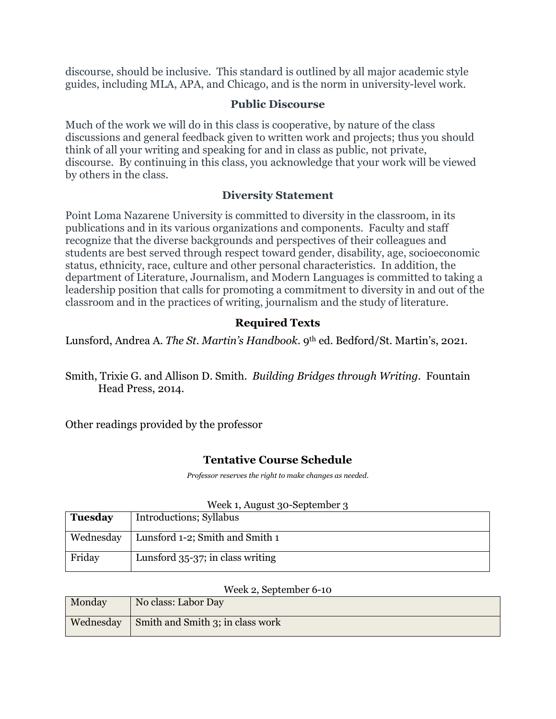discourse, should be inclusive. This standard is outlined by all major academic style guides, including MLA, APA, and Chicago, and is the norm in university-level work.

#### **Public Discourse**

Much of the work we will do in this class is cooperative, by nature of the class discussions and general feedback given to written work and projects; thus you should think of all your writing and speaking for and in class as public, not private, discourse. By continuing in this class, you acknowledge that your work will be viewed by others in the class.

# **Diversity Statement**

Point Loma Nazarene University is committed to diversity in the classroom, in its publications and in its various organizations and components. Faculty and staff recognize that the diverse backgrounds and perspectives of their colleagues and students are best served through respect toward gender, disability, age, socioeconomic status, ethnicity, race, culture and other personal characteristics. In addition, the department of Literature, Journalism, and Modern Languages is committed to taking a leadership position that calls for promoting a commitment to diversity in and out of the classroom and in the practices of writing, journalism and the study of literature.

# **Required Texts**

Lunsford, Andrea A. *The St. Martin's Handbook*. 9th ed. Bedford/St. Martin's, 2021.

Smith, Trixie G. and Allison D. Smith. *Building Bridges through Writing.* Fountain Head Press, 2014.

Other readings provided by the professor

# **Tentative Course Schedule**

*Professor reserves the right to make changes as needed.*

|                | $\alpha$ is not controver $\beta$ |
|----------------|-----------------------------------|
| <b>Tuesday</b> | Introductions; Syllabus           |
| Wednesday      | Lunsford 1-2; Smith and Smith 1   |
| Friday         | Lunsford 35-37; in class writing  |

#### Wook 1, August 20, September 3

#### Week 2, September 6-10

| Monday | No class: Labor Day                                |
|--------|----------------------------------------------------|
|        | Wednesday $\vert$ Smith and Smith 3; in class work |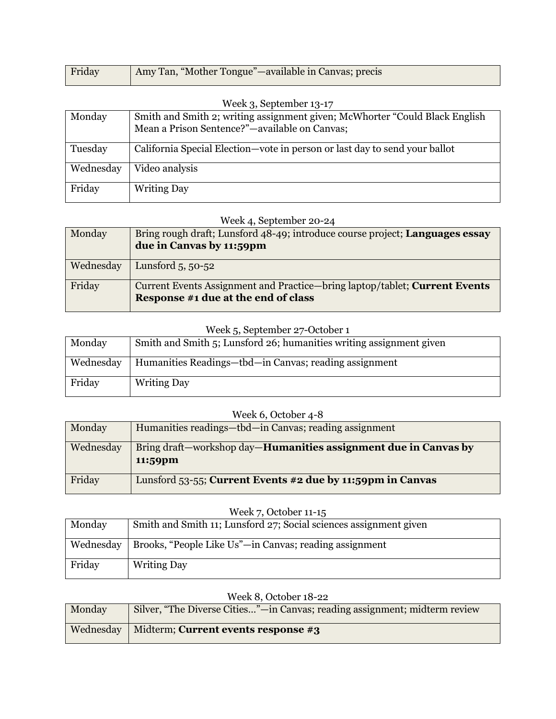| Friday | Amy Tan, "Mother Tongue"—available in Canvas; precis |
|--------|------------------------------------------------------|
|        |                                                      |

| Week $3$ , September $13-17$ |                                                                              |  |  |
|------------------------------|------------------------------------------------------------------------------|--|--|
| Monday                       | Smith and Smith 2; writing assignment given; McWhorter "Could Black English" |  |  |
|                              | Mean a Prison Sentence?"—available on Canvas;                                |  |  |
| Tuesday                      | California Special Election—vote in person or last day to send your ballot   |  |  |
| Wednesday                    | Video analysis                                                               |  |  |
| Friday                       | <b>Writing Day</b>                                                           |  |  |

# Week 4, September 20-24

| Monday    | Bring rough draft; Lunsford 48-49; introduce course project; Languages essay<br>due in Canvas by 11:59pm          |
|-----------|-------------------------------------------------------------------------------------------------------------------|
| Wednesday | Lunsford $5, 50-52$                                                                                               |
| Friday    | Current Events Assignment and Practice-bring laptop/tablet; Current Events<br>Response #1 due at the end of class |

#### Week 5, September 27-October 1

| Monday    | Smith and Smith 5; Lunsford 26; humanities writing assignment given |
|-----------|---------------------------------------------------------------------|
| Wednesday | Humanities Readings—tbd—in Canvas; reading assignment               |
| Friday    | <b>Writing Day</b>                                                  |

# Week 6, October 4-8

| Monday    | Humanities readings—tbd—in Canvas; reading assignment                              |
|-----------|------------------------------------------------------------------------------------|
| Wednesday | Bring draft—workshop day— <b>Humanities assignment due in Canvas by</b><br>11:59pm |
| Friday    | Lunsford $53-55$ ; Current Events #2 due by 11:59pm in Canvas                      |

#### Week 7, October 11-15

| Monday    | Smith and Smith 11; Lunsford 27; Social sciences assignment given |
|-----------|-------------------------------------------------------------------|
| Wednesday | Brooks, "People Like Us"—in Canvas; reading assignment            |
| Friday    | <b>Writing Day</b>                                                |

|           | $\ldots$ can be below to $\leq$                                            |
|-----------|----------------------------------------------------------------------------|
| Monday    | Silver, "The Diverse Cities"—in Canvas; reading assignment; midterm review |
| Wednesday | Midterm; Current events response #3                                        |

# Week 8, October 18-22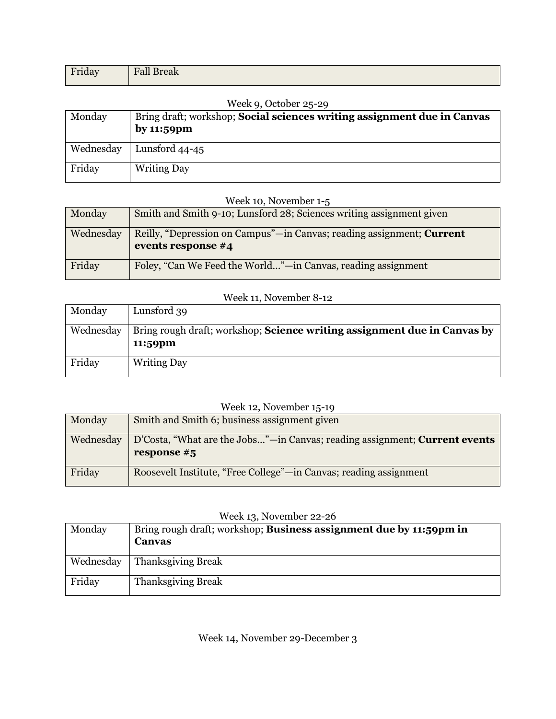| $\mathbf{r}$<br>ш<br>1110a | $\overline{\phantom{a}}$ $\overline{\phantom{a}}$ $\overline{\phantom{a}}$ $\overline{\phantom{a}}$ $\overline{\phantom{a}}$ $\overline{\phantom{a}}$ $\overline{\phantom{a}}$ $\overline{\phantom{a}}$ $\overline{\phantom{a}}$ $\overline{\phantom{a}}$ $\overline{\phantom{a}}$ $\overline{\phantom{a}}$ $\overline{\phantom{a}}$ $\overline{\phantom{a}}$ $\overline{\phantom{a}}$ $\overline{\phantom{a}}$ $\overline{\phantom{a}}$ $\overline{\phantom{a}}$ $\overline{\$<br>$\overline{\phantom{a}}$ |
|----------------------------|-------------------------------------------------------------------------------------------------------------------------------------------------------------------------------------------------------------------------------------------------------------------------------------------------------------------------------------------------------------------------------------------------------------------------------------------------------------------------------------------------------------|
|                            |                                                                                                                                                                                                                                                                                                                                                                                                                                                                                                             |

#### Week 9, October 25-29

| Monday    | Bring draft; workshop; <b>Social sciences writing assignment due in Canvas</b><br>by 11:59 $\mathbf{p}$ m |
|-----------|-----------------------------------------------------------------------------------------------------------|
| Wednesday | Lunsford $44-45$                                                                                          |
| Friday    | <b>Writing Day</b>                                                                                        |

#### Week 10, November 1-5

| Monday    | Smith and Smith 9-10; Lunsford 28; Sciences writing assignment given                        |
|-----------|---------------------------------------------------------------------------------------------|
| Wednesday | Reilly, "Depression on Campus"—in Canvas; reading assignment; Current<br>events response #4 |
| Friday    | Foley, "Can We Feed the World"—in Canvas, reading assignment                                |

#### Week 11, November 8-12

| Monday    | Lunsford 39                                                                     |
|-----------|---------------------------------------------------------------------------------|
| Wednesday | Bring rough draft; workshop; <b>Science writing assignment due in Canvas by</b> |
|           | 11:59pm                                                                         |
| Friday    | <b>Writing Day</b>                                                              |

# Week 12, November 15-19

| Monday    | Smith and Smith 6; business assignment given                                                       |
|-----------|----------------------------------------------------------------------------------------------------|
| Wednesday | D'Costa, "What are the Jobs"—in Canvas; reading assignment; <b>Current events</b><br>response $#5$ |
| Friday    | Roosevelt Institute, "Free College"—in Canvas; reading assignment                                  |

#### Week 13, November 22-26

| Monday    | Bring rough draft; workshop; <b>Business assignment due by 11:59pm in</b><br>Canvas |
|-----------|-------------------------------------------------------------------------------------|
| Wednesday | <b>Thanksgiving Break</b>                                                           |
| Friday    | <b>Thanksgiving Break</b>                                                           |

Week 14, November 29-December 3